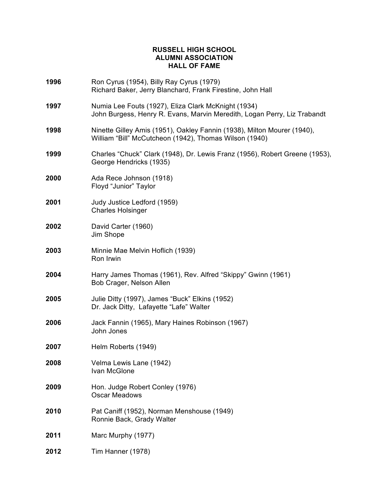## **RUSSELL HIGH SCHOOL ALUMNI ASSOCIATION HALL OF FAME**

| 1996 | Ron Cyrus (1954), Billy Ray Cyrus (1979)<br>Richard Baker, Jerry Blanchard, Frank Firestine, John Hall                            |
|------|-----------------------------------------------------------------------------------------------------------------------------------|
| 1997 | Numia Lee Fouts (1927), Eliza Clark McKnight (1934)<br>John Burgess, Henry R. Evans, Marvin Meredith, Logan Perry, Liz Trabandt   |
| 1998 | Ninette Gilley Amis (1951), Oakley Fannin (1938), Milton Mourer (1940),<br>William "Bill" McCutcheon (1942), Thomas Wilson (1940) |
| 1999 | Charles "Chuck" Clark (1948), Dr. Lewis Franz (1956), Robert Greene (1953),<br>George Hendricks (1935)                            |
| 2000 | Ada Rece Johnson (1918)<br>Floyd "Junior" Taylor                                                                                  |
| 2001 | Judy Justice Ledford (1959)<br><b>Charles Holsinger</b>                                                                           |
| 2002 | David Carter (1960)<br>Jim Shope                                                                                                  |
| 2003 | Minnie Mae Melvin Hoflich (1939)<br>Ron Irwin                                                                                     |
| 2004 | Harry James Thomas (1961), Rev. Alfred "Skippy" Gwinn (1961)<br>Bob Crager, Nelson Allen                                          |
| 2005 | Julie Ditty (1997), James "Buck" Elkins (1952)<br>Dr. Jack Ditty, Lafayette "Lafe" Walter                                         |
| 2006 | Jack Fannin (1965), Mary Haines Robinson (1967)<br>John Jones                                                                     |
| 2007 | Helm Roberts (1949)                                                                                                               |
| 2008 | Velma Lewis Lane (1942)<br>Ivan McGlone                                                                                           |
| 2009 | Hon. Judge Robert Conley (1976)<br><b>Oscar Meadows</b>                                                                           |
| 2010 | Pat Caniff (1952), Norman Menshouse (1949)<br>Ronnie Back, Grady Walter                                                           |
| 2011 | Marc Murphy (1977)                                                                                                                |
| 2012 | Tim Hanner (1978)                                                                                                                 |